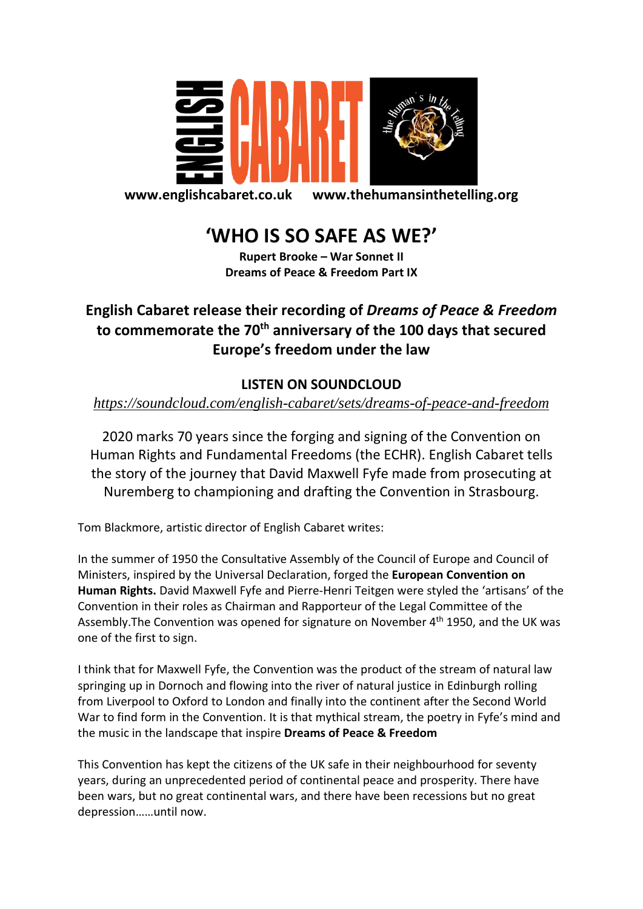

**www.englishcabaret.co.uk www.thehumansinthetelling.org**

## **'WHO IS SO SAFE AS WE?'**

**Rupert Brooke – War Sonnet II Dreams of Peace & Freedom Part IX**

## **English Cabaret release their recording of** *Dreams of Peace & Freedom* **to commemorate the 70th anniversary of the 100 days that secured Europe's freedom under the law**

## **LISTEN ON SOUNDCLOUD**

## *<https://soundcloud.com/english-cabaret/sets/dreams-of-peace-and-freedom>*

2020 marks 70 years since the forging and signing of the Convention on Human Rights and Fundamental Freedoms (the ECHR). English Cabaret tells the story of the journey that David Maxwell Fyfe made from prosecuting at Nuremberg to championing and drafting the Convention in Strasbourg.

Tom Blackmore, artistic director of English Cabaret writes:

In the summer of 1950 the Consultative Assembly of the Council of Europe and Council of Ministers, inspired by the Universal Declaration, forged the **European Convention on Human Rights.** David Maxwell Fyfe and Pierre-Henri Teitgen were styled the 'artisans' of the Convention in their roles as Chairman and Rapporteur of the Legal Committee of the Assembly. The Convention was opened for signature on November 4<sup>th</sup> 1950, and the UK was one of the first to sign.

I think that for Maxwell Fyfe, the Convention was the product of the stream of natural law springing up in Dornoch and flowing into the river of natural justice in Edinburgh rolling from Liverpool to Oxford to London and finally into the continent after the Second World War to find form in the Convention. It is that mythical stream, the poetry in Fyfe's mind and the music in the landscape that inspire **Dreams of Peace & Freedom**

This Convention has kept the citizens of the UK safe in their neighbourhood for seventy years, during an unprecedented period of continental peace and prosperity. There have been wars, but no great continental wars, and there have been recessions but no great depression……until now.